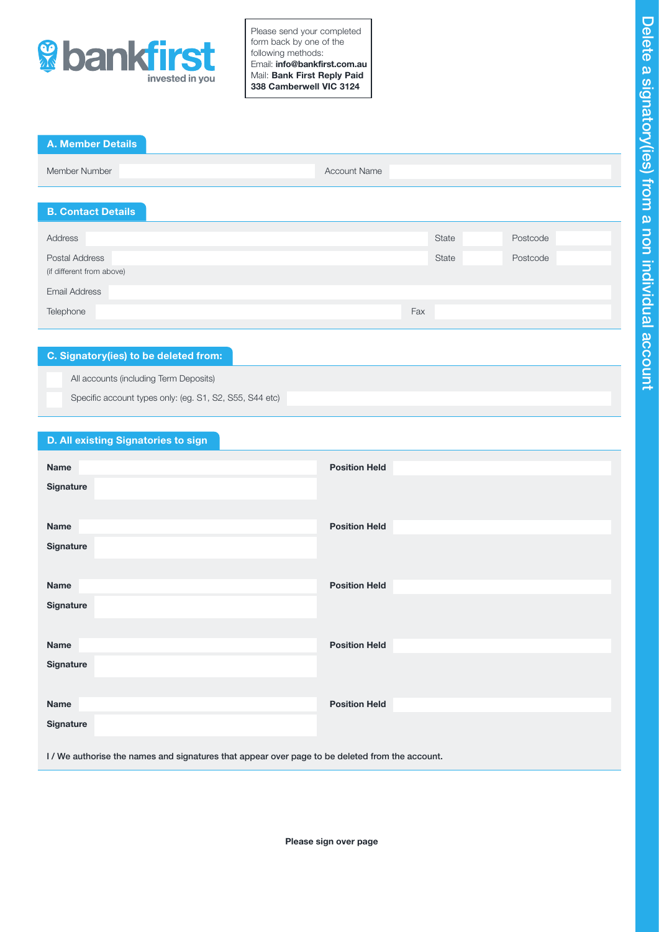

Please send your completed form back by one of the following methods: Email: info@bankfirst.com.au Mail: Bank First Reply Paid 338 Camberwell VIC 3124

## A. Member Details

| Member Number | <b>Account Name</b> |  |
|---------------|---------------------|--|
|               |                     |  |

## B. Contact Details

| Address                   | State | Postcode |
|---------------------------|-------|----------|
|                           |       |          |
| Postal Address            | State | Postcode |
| (if different from above) |       |          |
|                           |       |          |
| <b>Email Address</b>      |       |          |
|                           |       |          |
| Telephone                 | Fax   |          |
|                           |       |          |

## C. Signatory(ies) to be deleted from:

All accounts (including Term Deposits)

Specific account types only: (eg. S1, S2, S55, S44 etc)

## D. All existing Signatories to sign

| Name        | <b>Position Held</b> |
|-------------|----------------------|
|             |                      |
| Signature   |                      |
|             |                      |
| <b>Name</b> | <b>Position Held</b> |
| Signature   |                      |
|             |                      |
|             |                      |
| <b>Name</b> | <b>Position Held</b> |
| Signature   |                      |
|             |                      |
| <b>Name</b> | <b>Position Held</b> |
|             |                      |
| Signature   |                      |
|             |                      |
| <b>Name</b> | <b>Position Held</b> |
| Signature   |                      |
|             |                      |
|             |                      |

I / We authorise the names and signatures that appear over page to be deleted from the account.

Please sign over page